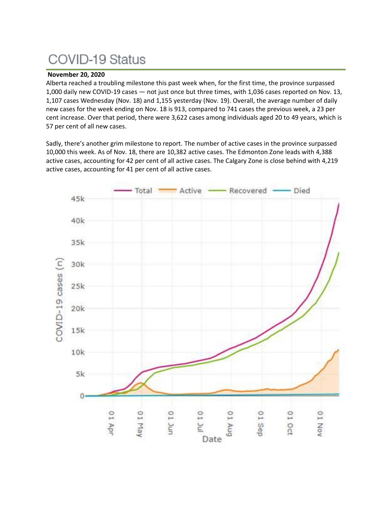# **COVID-19 Status**

## **November 20, 2020**

Alberta reached a troubling milestone this past week when, for the first time, the province surpassed 1,000 daily new COVID-19 cases — not just once but three times, with 1,036 cases reported on Nov. 13, 1,107 cases Wednesday (Nov. 18) and 1,155 yesterday (Nov. 19). Overall, the average number of daily new cases for the week ending on Nov. 18 is 913, compared to 741 cases the previous week, a 23 per cent increase. Over that period, there were 3,622 cases among individuals aged 20 to 49 years, which is 57 per cent of all new cases.

Sadly, there's another grim milestone to report. The number of active cases in the province surpassed 10,000 this week. As of Nov. 18, there are 10,382 active cases. The Edmonton Zone leads with 4,388 active cases, accounting for 42 per cent of all active cases. The Calgary Zone is close behind with 4,219 active cases, accounting for 41 per cent of all active cases.

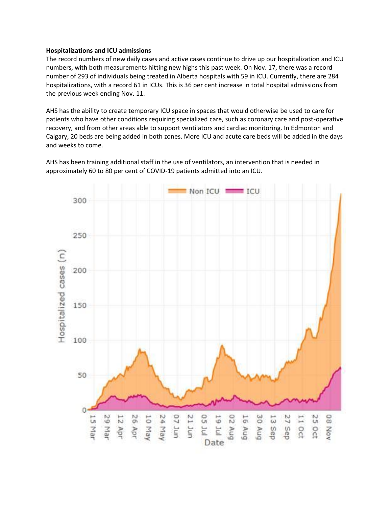#### **Hospitalizations and ICU admissions**

The record numbers of new daily cases and active cases continue to drive up our hospitalization and ICU numbers, with both measurements hitting new highs this past week. On Nov. 17, there was a record number of 293 of individuals being treated in Alberta hospitals with 59 in ICU. Currently, there are 284 hospitalizations, with a record 61 in ICUs. This is 36 per cent increase in total hospital admissions from the previous week ending Nov. 11.

AHS has the ability to create temporary ICU space in spaces that would otherwise be used to care for patients who have other conditions requiring specialized care, such as coronary care and post-operative recovery, and from other areas able to support ventilators and cardiac monitoring. In Edmonton and Calgary, 20 beds are being added in both zones. More ICU and acute care beds will be added in the days and weeks to come.

AHS has been training additional staff in the use of ventilators, an intervention that is needed in approximately 60 to 80 per cent of COVID-19 patients admitted into an ICU.

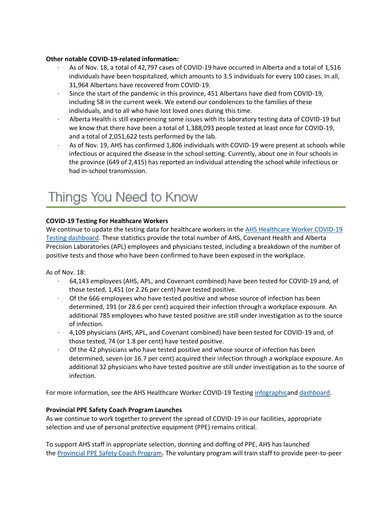## **Other notable COVID-19-related information:**

- As of Nov. 18, a total of 42,797 cases of COVID-19 have occurred in Alberta and a total of 1,516 individuals have been hospitalized, which amounts to 3.5 individuals for every 100 cases. In all, 31,964 Albertans have recovered from COVID-19.
- Since the start of the pandemic in this province, 451 Albertans have died from COVID-19, including 58 in the current week. We extend our condolences to the families of these individuals, and to all who have lost loved ones during this time.
- · Alberta Health is still experiencing some issues with its laboratory testing data of COVID-19 but we know that there have been a total of 1,388,093 people tested at least once for COVID-19, and a total of 2,051,622 tests performed by the lab.
- As of Nov. 19, AHS has confirmed 1,806 individuals with COVID-19 were present at schools while infectious or acquired the disease in the school setting. Currently, about one in four schools in the province (649 of 2,415) has reported an individual attending the school while infectious or had in-school transmission.

## Things You Need to Know

## **COVID-19 Testing For Healthcare Workers**

We continue to update the testing data for healthcare workers in the AHS Healthcare Worker COVID-19 [Testing dashboard.](https://tableau.albertahealthservices.ca/#/views/AHSEmployeePhysicianCOVID-19TestSurveillanceDashboard/Introduction?:iid=1) These statistics provide the total number of AHS, Covenant Health and Alberta Precision Laboratories (APL) employees and physicians tested, including a breakdown of the number of positive tests and those who have been confirmed to have been exposed in the workplace.

As of Nov. 18:

- · 64,143 employees (AHS, APL, and Covenant combined) have been tested for COVID-19 and, of those tested, 1,451 (or 2.26 per cent) have tested positive.
- Of the 666 employees who have tested positive and whose source of infection has been determined, 191 (or 28.6 per cent) acquired their infection through a workplace exposure. An additional 785 employees who have tested positive are still under investigation as to the source of infection.
- · 4,109 physicians (AHS, APL, and Covenant combined) have been tested for COVID-19 and, of those tested, 74 (or 1.8 per cent) have tested positive.
- Of the 42 physicians who have tested positive and whose source of infection has been determined, seven (or 16.7 per cent) acquired their infection through a workplace exposure. An additional 32 physicians who have tested positive are still under investigation as to the source of infection.

For more information, see the AHS Healthcare Worker COVID-19 Testing [infographica](https://insite.albertahealthservices.ca/main/assets/tls/ep/tls-ep-covid-19-healthcare-worker-testing-infographic.pdf)nd [dashboard.](https://tableau.albertahealthservices.ca/#/views/AHSEmployeePhysicianCOVID-19TestSurveillanceDashboard/Introduction?:iid=1)

## **Provincial PPE Safety Coach Program Launches**

As we continue to work together to prevent the spread of COVID-19 in our facilities, appropriate selection and use of personal protective equipment (PPE) remains critical.

To support AHS staff in appropriate selection, donning and doffing of PPE, AHS has launched the [Provincial PPE Safety Coach Program.](https://www.albertahealthservices.ca/info/page17279.aspx) The voluntary program will train staff to provide peer-to-peer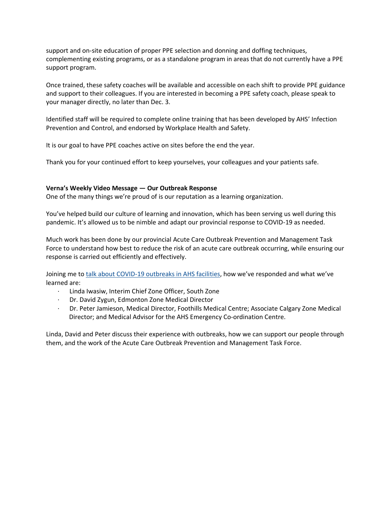support and on-site education of proper PPE selection and donning and doffing techniques, complementing existing programs, or as a standalone program in areas that do not currently have a PPE support program.

Once trained, these safety coaches will be available and accessible on each shift to provide PPE guidance and support to their colleagues. If you are interested in becoming a PPE safety coach, please speak to your manager directly, no later than Dec. 3.

Identified staff will be required to complete online training that has been developed by AHS' Infection Prevention and Control, and endorsed by Workplace Health and Safety.

It is our goal to have PPE coaches active on sites before the end the year.

Thank you for your continued effort to keep yourselves, your colleagues and your patients safe.

## **Verna's Weekly Video Message — Our Outbreak Response**

One of the many things we're proud of is our reputation as a learning organization.

You've helped build our culture of learning and innovation, which has been serving us well during this pandemic. It's allowed us to be nimble and adapt our provincial response to COVID-19 as needed.

Much work has been done by our provincial Acute Care Outbreak Prevention and Management Task Force to understand how best to reduce the risk of an acute care outbreak occurring, while ensuring our response is carried out efficiently and effectively.

Joining me to [talk about COVID-19 outbreaks in AHS facilities](https://www.albertahealthservices.ca/Blogs/ceo/299.aspx#.X7hRpc1KiUk), how we've responded and what we've learned are:

- · Linda Iwasiw, Interim Chief Zone Officer, South Zone
- · Dr. David Zygun, Edmonton Zone Medical Director
- · Dr. Peter Jamieson, Medical Director, Foothills Medical Centre; Associate Calgary Zone Medical Director; and Medical Advisor for the AHS Emergency Co-ordination Centre.

Linda, David and Peter discuss their experience with outbreaks, how we can support our people through them, and the work of the Acute Care Outbreak Prevention and Management Task Force.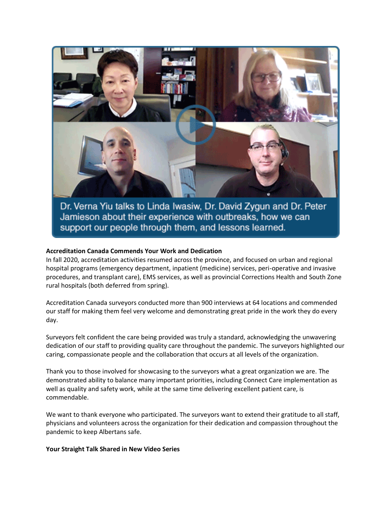

Dr. Verna Yiu talks to Linda Iwasiw, Dr. David Zygun and Dr. Peter Jamieson about their experience with outbreaks, how we can support our people through them, and lessons learned.

#### **Accreditation Canada Commends Your Work and Dedication**

In fall 2020, accreditation activities resumed across the province, and focused on urban and regional hospital programs (emergency department, inpatient (medicine) services, peri-operative and invasive procedures, and transplant care), EMS services, as well as provincial Corrections Health and South Zone rural hospitals (both deferred from spring).

Accreditation Canada surveyors conducted more than 900 interviews at 64 locations and commended our staff for making them feel very welcome and demonstrating great pride in the work they do every day.

Surveyors felt confident the care being provided was truly a standard, acknowledging the unwavering dedication of our staff to providing quality care throughout the pandemic. The surveyors highlighted our caring, compassionate people and the collaboration that occurs at all levels of the organization.

Thank you to those involved for showcasing to the surveyors what a great organization we are. The demonstrated ability to balance many important priorities, including Connect Care implementation as well as quality and safety work, while at the same time delivering excellent patient care, is commendable.

We want to thank everyone who participated. The surveyors want to extend their gratitude to all staff, physicians and volunteers across the organization for their dedication and compassion throughout the pandemic to keep Albertans safe.

#### **Your Straight Talk Shared in New Video Series**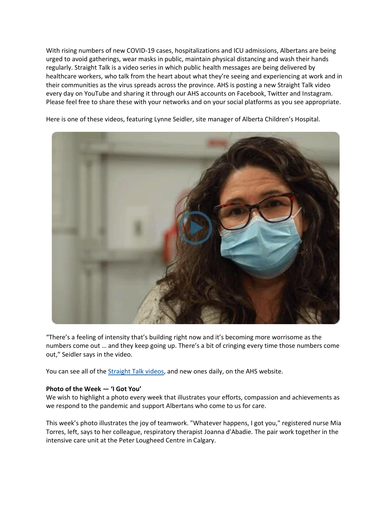With rising numbers of new COVID-19 cases, hospitalizations and ICU admissions, Albertans are being urged to avoid gatherings, wear masks in public, maintain physical distancing and wash their hands regularly. Straight Talk is a video series in which public health messages are being delivered by healthcare workers, who talk from the heart about what they're seeing and experiencing at work and in their communities as the virus spreads across the province. AHS is posting a new Straight Talk video every day on YouTube and sharing it through our AHS accounts on Facebook, Twitter and Instagram. Please feel free to share these with your networks and on your social platforms as you see appropriate.



Here is one of these videos, featuring Lynne Seidler, site manager of Alberta Children's Hospital.

"There's a feeling of intensity that's building right now and it's becoming more worrisome as the numbers come out … and they keep going up. There's a bit of cringing every time those numbers come out," Seidler says in the video.

You can see all of the [Straight Talk videos,](https://www.albertahealthservices.ca/topics/Page17166.aspx#straight-talk) and new ones daily, on the AHS website.

#### **Photo of the Week — 'I Got You'**

We wish to highlight a photo every week that illustrates your efforts, compassion and achievements as we respond to the pandemic and support Albertans who come to us for care.

This week's photo illustrates the joy of teamwork. "Whatever happens, I got you," registered nurse Mia Torres, left, says to her colleague, respiratory therapist Joanna d'Abadie. The pair work together in the intensive care unit at the Peter Lougheed Centre in Calgary.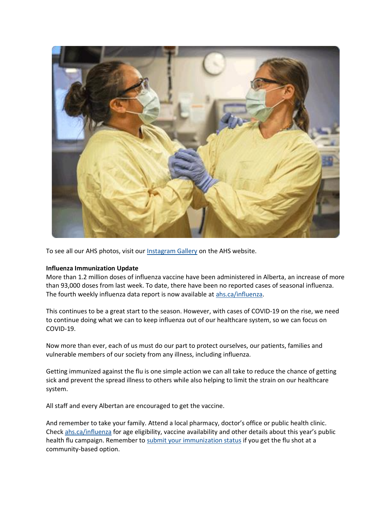

To see all our AHS photos, visit our [Instagram Gallery](https://www.albertahealthservices.ca/news/Page15439.aspx#photos) on the AHS website.

#### **Influenza Immunization Update**

More than 1.2 million doses of influenza vaccine have been administered in Alberta, an increase of more than 93,000 doses from last week. To date, there have been no reported cases of seasonal influenza. The fourth weekly influenza data report is now available at [ahs.ca/influenza.](http://www.ahs.ca/influenza)

This continues to be a great start to the season. However, with cases of COVID-19 on the rise, we need to continue doing what we can to keep influenza out of our healthcare system, so we can focus on COVID-19.

Now more than ever, each of us must do our part to protect ourselves, our patients, families and vulnerable members of our society from any illness, including influenza.

Getting immunized against the flu is one simple action we can all take to reduce the chance of getting sick and prevent the spread illness to others while also helping to limit the strain on our healthcare system.

All staff and every Albertan are encouraged to get the vaccine.

And remember to take your family. Attend a local pharmacy, doctor's office or public health clinic. Check [ahs.ca/influenza](http://www.ahs.ca/influenza) for age eligibility, vaccine availability and other details about this year's public health flu campaign. Remember to [submit your immunization status](https://insite.albertahealthservices.ca/hr/Page25170.aspx) if you get the flu shot at a community-based option.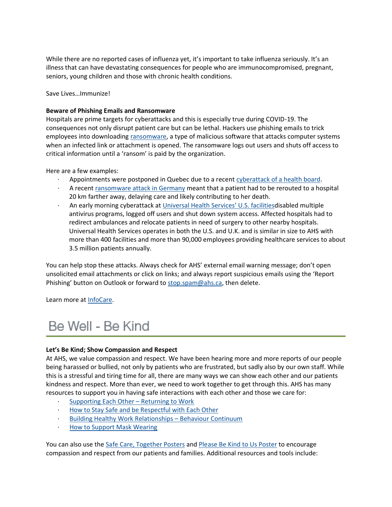While there are no reported cases of influenza yet, it's important to take influenza seriously. It's an illness that can have devastating consequences for people who are immunocompromised, pregnant, seniors, young children and those with chronic health conditions.

Save Lives…Immunize!

## **Beware of Phishing Emails and Ransomware**

Hospitals are prime targets for cyberattacks and this is especially true during COVID-19. The consequences not only disrupt patient care but can be lethal. Hackers use phishing emails to trick employees into downloading [ransomware,](https://insite.albertahealthservices.ca/tools/infocare/Page22921.aspx#22) a type of malicious software that attacks computer systems when an infected link or attachment is opened. The ransomware logs out users and shuts off access to critical information until a 'ransom' is paid by the organization.

Here are a few examples:

- Appointments were postponed in Quebec due to a recent [cyberattack of a health board.](https://www.theglobeandmail.com/canada/article-quebec-health-network-targeted-by-cyberattack/)
- · A recent [ransomware attack in Germany](https://www.healthcareinfosecurity.com/ransomware-attack-at-hospital-leads-to-patients-death-a-15010) meant that a patient had to be rerouted to a hospital 20 km farther away, delaying care and likely contributing to her death.
- · An early morning cyberattack at [Universal Health Services' U.S. facilities](https://www.bleepingcomputer.com/news/security/uhs-hospitals-hit-by-reported-country-wide-ryuk-ransomware-attack/)disabled multiple antivirus programs, logged off users and shut down system access. Affected hospitals had to redirect ambulances and relocate patients in need of surgery to other nearby hospitals. Universal Health Services operates in both the U.S. and U.K. and is similar in size to AHS with more than 400 facilities and more than 90,000 employees providing healthcare services to about 3.5 million patients annually.

You can help stop these attacks. Always check for AHS' external email warning message; don't open unsolicited email attachments or click on links; and always report suspicious emails using the 'Report Phishing' button on Outlook or forward to [stop.spam@ahs.ca,](mailto:stop.spam@ahs.ca) then delete.

Learn more at [InfoCare.](https://insite.albertahealthservices.ca/tools/infocare/Page21919.aspx)

## Be Well - Be Kind

## **Let's Be Kind; Show Compassion and Respect**

At AHS, we value compassion and respect. We have been hearing more and more reports of our people being harassed or bullied, not only by patients who are frustrated, but sadly also by our own staff. While this is a stressful and tiring time for all, there are many ways we can show each other and our patients kindness and respect. More than ever, we need to work together to get through this. AHS has many resources to support you in having safe interactions with each other and those we care for:

- [Supporting Each Other](https://insite.albertahealthservices.ca/Main/assets/hr/tms-hr-ctc-return-to-work-info-sheet.pdf)  Returning to Work
- · [How to Stay Safe and be Respectful with Each Other](https://insite.albertahealthservices.ca/main/assets/tls/ep/tls-ep-how-to-stay-safe-respectful.pdf)
- [Building Healthy Work Relationships](https://insite.albertahealthservices.ca/Main/assets/hr/tms-hr-er-type-III-worker-to-worker-behavioural-continuum-booklet.pdf)  Behaviour Continuum
- · [How to Support Mask Wearing](https://www.albertahealthservices.ca/assets/info/ppih/if-ppih-covid-19-how-to-support-mask-wearing.pdf)

You can also use the [Safe Care, Together Posters](https://insite.albertahealthservices.ca/hr/Page9084.aspx) and [Please Be Kind to Us Poster](https://www.albertahealthservices.ca/assets/info/ppih/if-ppih-covid-19-be-kind-poster-11x17.pdf) to encourage compassion and respect from our patients and families. Additional resources and tools include: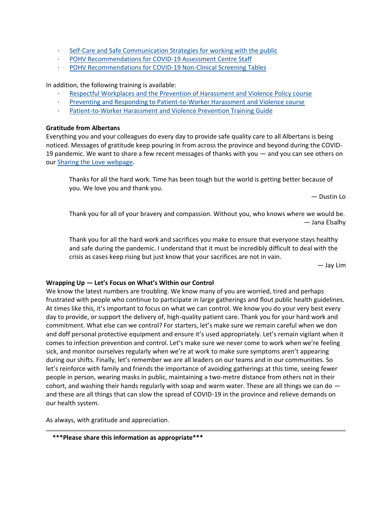- · [Self-Care and Safe Communication Strategies for working with the public](https://www.albertahealthservices.ca/assets/info/ppih/if-ppih-covid-19-selfcare-comms-strategies.pdf)
- · [POHV Recommendations for COVID-19 Assessment Centre Staff](https://insite.albertahealthservices.ca/main/assets/tls/ep/tls-ep-covid-19-pohv-recommendations-covid-19-assessment-centre-staff.pdf)
- [POHV Recommendations for COVID-19 Non-Clinical Screening Tables](https://insite.albertahealthservices.ca/main/assets/tls/ep/tls-ep-covid-19-pohv-recommendations-covid-19-non-clinical-screeners.pdf)

In addition, the following training is available:

- · [Respectful Workplaces and the Prevention of Harassment and Violence Policy course](https://insite.albertahealthservices.ca/main/assets/hr/tms-hr-whs-respectful-workplaces-prevention-harassment-violence-policy-course-faq.pdf)
- · [Preventing and Responding to Patient-to-Worker Harassment and Violence course](https://insite.albertahealthservices.ca/main/assets/hr/tms-hr-preventing-responding-patient-worker-harassment-violence-course-faq.pdf)
- [Patient-to-Worker Harassment and Violence Prevention Training Guide](https://insite.albertahealthservices.ca/main/assets/hr/tms-hr-whs-workplace-violence-prevention-training-guide.pdf)

## **Gratitude from Albertans**

Everything you and your colleagues do every day to provide safe quality care to all Albertans is being noticed. Messages of gratitude keep pouring in from across the province and beyond during the COVID-19 pandemic. We want to share a few recent messages of thanks with you — and you can see others on our Sharing the [Love webpage.](https://www.albertahealthservices.ca/about/page13797.aspx)

Thanks for all the hard work. Time has been tough but the world is getting better because of you. We love you and thank you.

— Dustin Lo

Thank you for all of your bravery and compassion. Without you, who knows where we would be. — Jana Elsalhy

Thank you for all the hard work and sacrifices you make to ensure that everyone stays healthy and safe during the pandemic. I understand that it must be incredibly difficult to deal with the crisis as cases keep rising but just know that your sacrifices are not in vain.

— Jay Lim

## **Wrapping Up — Let's Focus on What's Within our Control**

We know the latest numbers are troubling. We know many of you are worried, tired and perhaps frustrated with people who continue to participate in large gatherings and flout public health guidelines. At times like this, it's important to focus on what we can control. We know you do your very best every day to provide, or support the delivery of, high-quality patient care. Thank you for your hard work and commitment. What else can we control? For starters, let's make sure we remain careful when we don and doff personal protective equipment and ensure it's used appropriately. Let's remain vigilant when it comes to infection prevention and control. Let's make sure we never come to work when we're feeling sick, and monitor ourselves regularly when we're at work to make sure symptoms aren't appearing during our shifts. Finally, let's remember we are all leaders on our teams and in our communities. So let's reinforce with family and friends the importance of avoiding gatherings at this time, seeing fewer people in person, wearing masks in public, maintaining a two-metre distance from others not in their cohort, and washing their hands regularly with soap and warm water. These are all things we can do  $$ and these are all things that can slow the spread of COVID-19 in the province and relieve demands on our health system.

As always, with gratitude and appreciation.

**\*\*\*Please share this information as appropriate\*\*\***